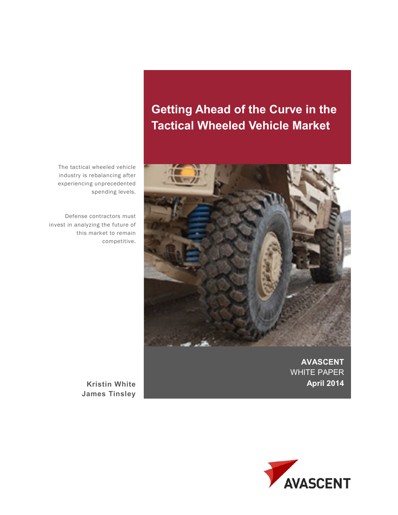# **Getting Ahead of the Curve in the Tactical Wheeled Vehicle Market**



**AVASCENT**  WHITE PAPER **April 2014**

The tactical wheeled vehicle industry is rebalancing after experiencing unprecedented spending levels.

Defense contractors must invest in analyzing the future of this market to remain competitive.

> **Kristin White James Tinsley**

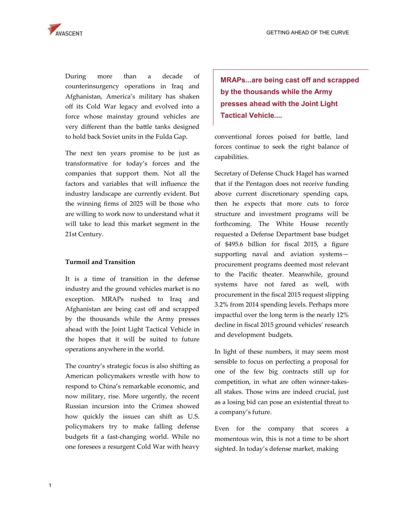

During more than a decade of counterinsurgency operations in Iraq and Afghanistan, America's military has shaken off its Cold War legacy and evolved into a force whose mainstay ground vehicles are very different than the battle tanks designed to hold back Soviet units in the Fulda Gap.

The next ten years promise to be just as transformative for today's forces and the companies that support them. Not all the factors and variables that will influence the industry landscape are currently evident. But the winning firms of 2025 will be those who are willing to work now to understand what it will take to lead this market segment in the 21st Century.

### **Turmoil and Transition**

It is a time of transition in the defense industry and the ground vehicles market is no exception. MRAPs rushed to Iraq and Afghanistan are being cast off and scrapped by the thousands while the Army presses ahead with the Joint Light Tactical Vehicle in the hopes that it will be suited to future operations anywhere in the world.

The country's strategic focus is also shifting as American policymakers wrestle with how to respond to China's remarkable economic, and now military, rise. More urgently, the recent Russian incursion into the Crimea showed how quickly the issues can shift as U.S. policymakers try to make falling defense budgets fit a fast-changing world. While no one foresees a resurgent Cold War with heavy

**MRAPs...are being cast off and scrapped by the thousands while the Army presses ahead with the Joint Light Tactical Vehicle....** 

conventional forces poised for battle, land forces continue to seek the right balance of capabilities.

Secretary of Defense Chuck Hagel has warned that if the Pentagon does not receive funding above current discretionary spending caps, then he expects that more cuts to force structure and investment programs will be forthcoming. The White House recently requested a Defense Department base budget of \$495.6 billion for fiscal 2015, a figure supporting naval and aviation systems procurement programs deemed most relevant to the Pacific theater. Meanwhile, ground systems have not fared as well, with procurement in the fiscal 2015 request slipping 3.2% from 2014 spending levels. Perhaps more impactful over the long term is the nearly 12% decline in fiscal 2015 ground vehicles' research and development budgets.

In light of these numbers, it may seem most sensible to focus on perfecting a proposal for one of the few big contracts still up for competition, in what are often winner-takesall stakes. Those wins are indeed crucial, just as a losing bid can pose an existential threat to a company's future.

Even for the company that scores a momentous win, this is not a time to be short sighted. In today's defense market, making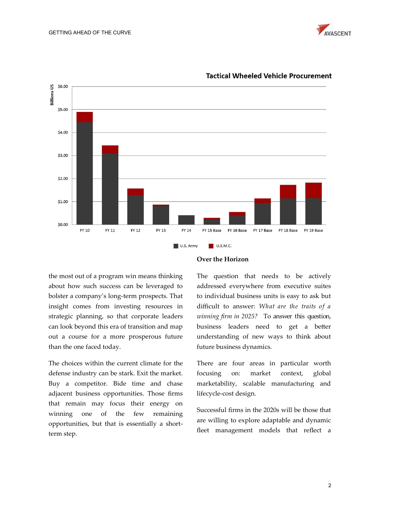



## **Tactical Wheeled Vehicle Procurement**

the most out of a program win means thinking about how such success can be leveraged to bolster a company's long-term prospects. That insight comes from investing resources in strategic planning, so that corporate leaders can look beyond this era of transition and map out a course for a more prosperous future than the one faced today.

The choices within the current climate for the defense industry can be stark. Exit the market. Buy a competitor. Bide time and chase adjacent business opportunities. Those firms that remain may focus their energy on winning one of the few remaining opportunities, but that is essentially a shortterm step.

#### **Over the Horizon**

The question that needs to be actively addressed everywhere from executive suites to individual business units is easy to ask but difficult to answer: *What are the traits of a winning firm in 2025?* To answer this question, business leaders need to get a better understanding of new ways to think about future business dynamics.

There are four areas in particular worth focusing on: market context, global marketability, scalable manufacturing and lifecycle-cost design.

Successful firms in the 2020s will be those that are willing to explore adaptable and dynamic fleet management models that reflect a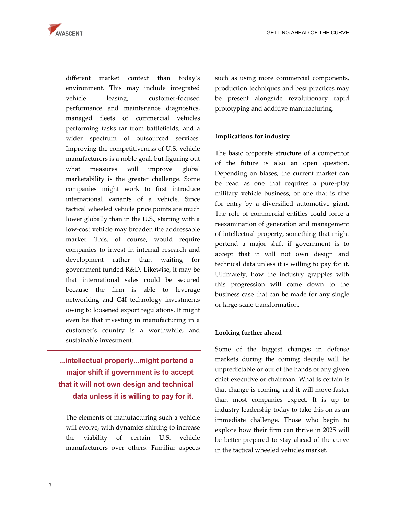

different market context than today's environment. This may include integrated vehicle leasing, customer-focused performance and maintenance diagnostics, managed fleets of commercial vehicles performing tasks far from battlefields, and a wider spectrum of outsourced services. Improving the competitiveness of U.S. vehicle manufacturers is a noble goal, but figuring out what measures will improve global marketability is the greater challenge. Some companies might work to first introduce international variants of a vehicle. Since tactical wheeled vehicle price points are much lower globally than in the U.S., starting with a low-cost vehicle may broaden the addressable market. This, of course, would require companies to invest in internal research and development rather than waiting for government funded R&D. Likewise, it may be that international sales could be secured because the firm is able to leverage networking and C4I technology investments owing to loosened export regulations. It might even be that investing in manufacturing in a customer's country is a worthwhile, and sustainable investment.

# **...intellectual property...might portend a major shift if government is to accept that it will not own design and technical data unless it is willing to pay for it.**

The elements of manufacturing such a vehicle will evolve, with dynamics shifting to increase the viability of certain U.S. vehicle manufacturers over others. Familiar aspects such as using more commercial components, production techniques and best practices may be present alongside revolutionary rapid prototyping and additive manufacturing.

### **Implications for industry**

The basic corporate structure of a competitor of the future is also an open question. Depending on biases, the current market can be read as one that requires a pure-play military vehicle business, or one that is ripe for entry by a diversified automotive giant. The role of commercial entities could force a reexamination of generation and management of intellectual property, something that might portend a major shift if government is to accept that it will not own design and technical data unless it is willing to pay for it. Ultimately, how the industry grapples with this progression will come down to the business case that can be made for any single or large-scale transformation.

### **Looking further ahead**

Some of the biggest changes in defense markets during the coming decade will be unpredictable or out of the hands of any given chief executive or chairman. What is certain is that change is coming, and it will move faster than most companies expect. It is up to industry leadership today to take this on as an immediate challenge. Those who begin to explore how their firm can thrive in 2025 will be better prepared to stay ahead of the curve in the tactical wheeled vehicles market.